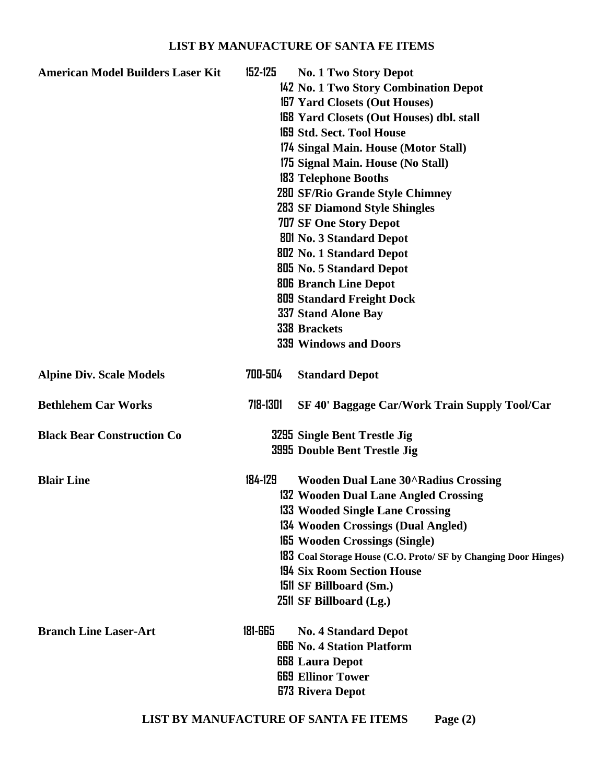## **LIST BY MANUFACTURE OF SANTA FE ITEMS**

| <b>American Model Builders Laser Kit</b> | 152-125  | <b>No. 1 Two Story Depot</b><br>142 No. 1 Two Story Combination Depot |
|------------------------------------------|----------|-----------------------------------------------------------------------|
|                                          |          | <b>167 Yard Closets (Out Houses)</b>                                  |
|                                          |          | <b>168 Yard Closets (Out Houses) dbl. stall</b>                       |
|                                          |          | <b>169 Std. Sect. Tool House</b>                                      |
|                                          |          | 174 Singal Main. House (Motor Stall)                                  |
|                                          |          | 175 Signal Main. House (No Stall)                                     |
|                                          |          | <b>183 Telephone Booths</b>                                           |
|                                          |          | 280 SF/Rio Grande Style Chimney                                       |
|                                          |          | <b>283 SF Diamond Style Shingles</b>                                  |
|                                          |          | <b>707 SF One Story Depot</b>                                         |
|                                          |          | <b>801 No. 3 Standard Depot</b>                                       |
|                                          |          | <b>802 No. 1 Standard Depot</b>                                       |
|                                          |          | 805 No. 5 Standard Depot                                              |
|                                          |          | <b>806 Branch Line Depot</b>                                          |
|                                          |          | <b>809 Standard Freight Dock</b>                                      |
|                                          |          | 337 Stand Alone Bay                                                   |
|                                          |          | <b>338 Brackets</b>                                                   |
|                                          |          | <b>339 Windows and Doors</b>                                          |
|                                          |          |                                                                       |
| <b>Alpine Div. Scale Models</b>          | 700-504  | <b>Standard Depot</b>                                                 |
| <b>Bethlehem Car Works</b>               | 718-1301 | SF 40' Baggage Car/Work Train Supply Tool/Car                         |
| <b>Black Bear Construction Co</b>        |          | 3295 Single Bent Trestle Jig                                          |
|                                          |          | 3995 Double Bent Trestle Jig                                          |
| <b>Blair Line</b>                        | 184-129  | <b>Wooden Dual Lane 30^Radius Crossing</b>                            |
|                                          |          | 132 Wooden Dual Lane Angled Crossing                                  |
|                                          |          | 133 Wooded Single Lane Crossing                                       |
|                                          |          | 134 Wooden Crossings (Dual Angled)                                    |
|                                          |          | <b>165 Wooden Crossings (Single)</b>                                  |
|                                          |          | 183 Coal Storage House (C.O. Proto/ SF by Changing Door Hinges)       |
|                                          |          | 194 Six Room Section House                                            |
|                                          |          | <b>1511 SF Billboard (Sm.)</b>                                        |
|                                          |          | 2511 SF Billboard (Lg.)                                               |
| <b>Branch Line Laser-Art</b>             | 181-665  | <b>No. 4 Standard Depot</b>                                           |
|                                          |          | <b>666</b> No. 4 Station Platform                                     |
|                                          |          | <b>GG8</b> Laura Depot                                                |
|                                          |          | <b>669 Ellinor Tower</b>                                              |
|                                          |          | <b>673 Rivera Depot</b>                                               |
|                                          |          |                                                                       |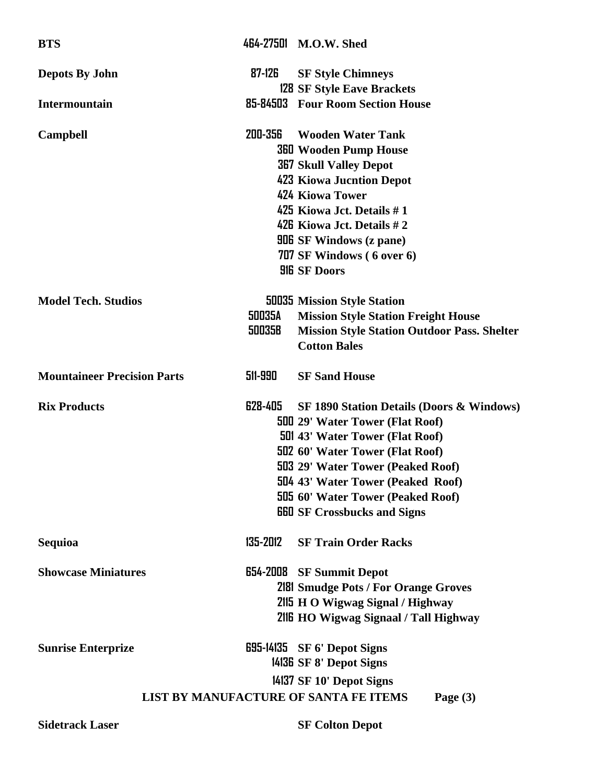| <b>BTS</b>                                                 |               | 464-27501 M.O.W. Shed                                |  |  |
|------------------------------------------------------------|---------------|------------------------------------------------------|--|--|
| <b>Depots By John</b>                                      | 87-126        | <b>SF Style Chimneys</b>                             |  |  |
|                                                            |               | <b>128 SF Style Eave Brackets</b>                    |  |  |
| Intermountain                                              |               | 85-84503 Four Room Section House                     |  |  |
| <b>Campbell</b>                                            | 200-356       | <b>Wooden Water Tank</b>                             |  |  |
|                                                            |               | <b>360 Wooden Pump House</b>                         |  |  |
|                                                            |               | <b>367 Skull Valley Depot</b>                        |  |  |
|                                                            |               | <b>423 Kiowa Jucntion Depot</b>                      |  |  |
|                                                            |               | 424 Kiowa Tower                                      |  |  |
|                                                            |               | 425 Kiowa Jct. Details #1                            |  |  |
|                                                            |               | 426 Kiowa Jct. Details #2                            |  |  |
|                                                            |               | <b>906</b> SF Windows (z pane)                       |  |  |
|                                                            |               | 707 SF Windows (6 over 6)                            |  |  |
|                                                            |               | <b>HE SF Doors</b>                                   |  |  |
| <b>Model Tech. Studios</b>                                 |               | <b>50035 Mission Style Station</b>                   |  |  |
|                                                            | <b>50035A</b> | <b>Mission Style Station Freight House</b>           |  |  |
|                                                            | 50035B        | <b>Mission Style Station Outdoor Pass. Shelter</b>   |  |  |
|                                                            |               | <b>Cotton Bales</b>                                  |  |  |
| <b>Mountaineer Precision Parts</b>                         | 511-990       | <b>SF Sand House</b>                                 |  |  |
| <b>Rix Products</b>                                        | 628-405       | <b>SF 1890 Station Details (Doors &amp; Windows)</b> |  |  |
|                                                            |               | <b>500 29' Water Tower (Flat Roof)</b>               |  |  |
|                                                            |               | <b>501 43' Water Tower (Flat Roof)</b>               |  |  |
|                                                            |               | <b>502 60' Water Tower (Flat Roof)</b>               |  |  |
|                                                            |               | 503 29' Water Tower (Peaked Roof)                    |  |  |
|                                                            |               | 504 43' Water Tower (Peaked Roof)                    |  |  |
|                                                            |               | 505 60' Water Tower (Peaked Roof)                    |  |  |
|                                                            |               | <b>GGU</b> SF Crossbucks and Signs                   |  |  |
| <b>Sequioa</b>                                             | 135-2012      | <b>SF Train Order Racks</b>                          |  |  |
| <b>Showcase Miniatures</b>                                 | 654-2008      | <b>SF Summit Depot</b>                               |  |  |
|                                                            |               | <b>2181 Smudge Pots / For Orange Groves</b>          |  |  |
|                                                            |               | 2115 H O Wigwag Signal / Highway                     |  |  |
|                                                            |               | 216 HO Wigwag Signaal / Tall Highway                 |  |  |
| <b>Sunrise Enterprize</b>                                  |               | $695-14135$ SF 6' Depot Signs                        |  |  |
|                                                            |               | 14136 SF 8' Depot Signs                              |  |  |
|                                                            |               | 14137 SF 10' Depot Signs                             |  |  |
| <b>LIST BY MANUFACTURE OF SANTA FE ITEMS</b><br>Page $(3)$ |               |                                                      |  |  |
| <b>Sidetrack Laser</b>                                     |               | <b>SF Colton Depot</b>                               |  |  |